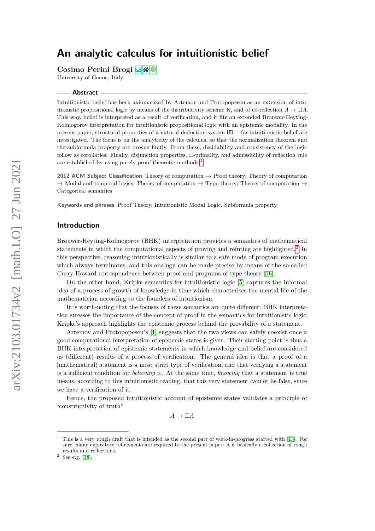Cosimo Perini Brogi **⊠** 

University of Genoa, Italy

#### **Abstract**

Intuitionistic belief has been axiomatized by Artemov and Protopopescu as an extension of intuitionistic propositional logic by means of the distributivity scheme K, and of co-reflection  $A \to \Box A$ . This way, belief is interpreted as a result of verification, and it fits an extended Brouwer-Heyting-Kolmogorov interpretation for intuitionistic propositional logic with an epistemic modality. In the present paper, structural properties of a natural deduction system IEL<sup>−</sup> for intuitionistic belief are investigated. The focus is on the analyticity of the calculus, so that the normalization theorem and the subformula property are proven firstly. From these, decidability and consistency of the logic follow as corollaries. Finally, disjunction properties, □-primality, and admissibility of reflection rule are established by using purely proof-theoretic methods.<sup>[1](#page-0-0)</sup>

**2012 ACM Subject Classification** Theory of computation → Proof theory; Theory of computation  $\rightarrow$  Modal and temporal logics; Theory of computation  $\rightarrow$  Type theory; Theory of computation  $\rightarrow$ Categorical semantics

**Keywords and phrases** Proof Theory, Intuitionistic Modal Logic, Subformula property

### **Introduction**

Brouwer-Heyting-Kolmogorov (BHK) interpretation provides a semantics of mathematical statements in which the computational aspects of proving and refuting are highlighted.<sup>[2](#page-0-1)</sup> In this perspective, reasoning intuitionistically is similar to a safe mode of program execution which always terminates, and this analogy can be made precise by means of the so-called Curry-Howard correspondence between proof and programs of type theory [\[16\]](#page-15-0).

On the other hand, Kripke semantics for intuitionistic logic [\[5\]](#page-14-0) captures the informal idea of a process of growth of knowledge in time which characterises the mental life of the mathematician according to the founders of intuitionism.

It is worth-noting that the focuses of these semantics are quite different: BHK interpretation stresses the importance of the concept of proof in the semantics for intuitionistic logic; Kripke's approach highlights the epistemic process behind the provability of a statement.

Artemov and Protopopescu's [\[1\]](#page-14-1) suggests that the two views can safely coexist once a good computational interpretation of epistemic states is given. Their starting point is thus a BHK interpretation of epistemic statements in which knowledge and belief are considered as (different) results of a process of verification. The general idea is that a proof of a (mathematical) statement is a most strict type of verification, and that verifying a statement is a sufficient condition for *believing* it. At the same time, *knowing* that a statement is true means, according to this intuitionistic reading, that this very statement cannot be false, since we have a verification of it.

Hence, the proposed intuitionistic account of epistemic states validates a principle of "constructivity of truth"

 $A \rightarrow \Box A$ 

<span id="page-0-0"></span><sup>1</sup> This is a very rough draft that is intended as the second part of work-in-progress started with [\[13\]](#page-15-1). For sure, many expository refinements are required to the present paper: it is basically a collection of rough results and reflections.

<span id="page-0-1"></span> $2$  See e.g. [\[18\]](#page-15-2).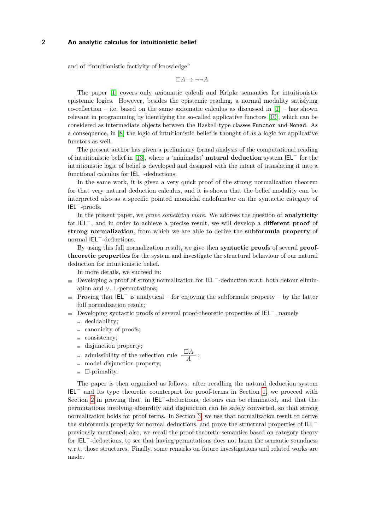and of "intuitionistic factivity of knowledge"

 $\Box A \rightarrow \neg \neg A$ .

The paper [\[1\]](#page-14-1) covers only axiomatic calculi and Kripke semantics for intuitionistic epistemic logics. However, besides the epistemic reading, a normal modality satisfying co-reflection – i.e. based on the same axiomatic calculus as discussed in  $[1]$  – has shown relevant in programming by identifying the so-called applicative functors [\[10\]](#page-15-3), which can be considered as intermediate objects between the Haskell type classes Functor and Monad. As a consequence, in [\[8\]](#page-15-4) the logic of intuitionistic belief is thought of as a logic for applicative functors as well.

The present author has given a preliminary formal analysis of the computational reading of intuitionistic belief in [\[13\]](#page-15-1), where a 'minimalist' **natural deduction** system IEL<sup>−</sup> for the intuitionistic logic of belief is developed and designed with the intent of translating it into a functional calculus for IEL−-deductions.

In the same work, it is given a very quick proof of the strong normalization theorem for that very natural deduction calculus, and it is shown that the belief modality can be interpreted also as a specific pointed monoidal endofunctor on the syntactic category of IEL−-proofs.

In the present paper, we *prove something more*. We address the question of **analyticity** for IEL<sup>−</sup>, and in order to achieve a precise result, we will develop a **different proof** of **strong normalization**, from which we are able to derive the **subformula property** of normal IEL<sup>−</sup>-deductions.

By using this full normalization result, we give then **syntactic proofs** of several **prooftheoretic properties** for the system and investigate the structural behaviour of our natural deduction for intuitionistic belief.

In more details, we succeed in:

- Developing a proof of strong normalization for IEL<sup>−</sup>-deduction w.r.t. both detour elimination and ∨*,* ⊥-permutations;
- Proving that  $IEL^-$  is analytical for enjoying the subformula property by the latter full normalization result;
- Developing syntactic proofs of several proof-theoretic properties of IEL<sup>−</sup>, namely
	- decidability;
	- $\equiv$  canonicity of proofs;
	- consistency;
	- disjunction property;
	- admissibility of the reflection rule  $\frac{\Box A}{A}$ ;  $\equiv$
	- modal disjunction property;  $\equiv$
	- $\Box$ -primality.

The paper is then organised as follows: after recalling the natural deduction system IEL<sup>−</sup> and its type theoretic counterpart for proof-terms in Section [1,](#page-2-0) we proceed with Section [2](#page-4-0) in proving that, in IEL<sup>−</sup>-deductions, detours can be eliminated, and that the permutations involving absurdity and disjunction can be safely converted, so that strong normalization holds for proof terms. In Section [3,](#page-10-0) we use that normalization result to derive the subformula property for normal deductions, and prove the structural properties of IEL<sup>−</sup> previously mentioned; also, we recall the proof-theoretic semantics based on category theory for IEL<sup>−</sup>-deductions, to see that having permutations does not harm the semantic soundness w.r.t. those structures. Finally, some remarks on future investigations and related works are made.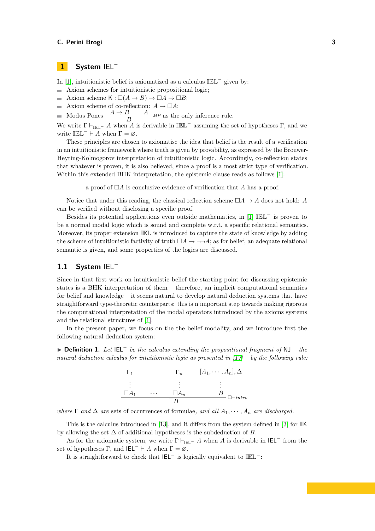### <span id="page-2-0"></span>**1 System** IEL<sup>−</sup>

In [\[1\]](#page-14-1), intuitionistic belief is axiomatized as a calculus IEL<sup>−</sup> given by:

- Axiom schemes for intuitionistic propositional logic;
- Axiom scheme  $K : \Box(A \to B) \to \Box A \to \Box B$ ;
- Axiom scheme of co-reflection:  $A \to \Box A$ ;  $\equiv$
- Modus Pones  $\frac{A \rightarrow B}{B}$  *MP* as the only inference rule.  $\equiv$

We write  $\Gamma \vdash_{\mathbb{IEL}^-} A$  when *A* is derivable in  $\mathbb{IEL}^-$  assuming the set of hypotheses  $\Gamma$ , and we write  $\mathbb{IEL}^- \vdash A$  when  $\Gamma = \varnothing$ .

These principles are chosen to axiomatise the idea that belief is the result of a verification in an intuitionistic framework where truth is given by provability, as expressed by the Brouwer-Heyting-Kolmogorov interpretation of intuitionistic logic. Accordingly, co-reflection states that whatever is proven, it is also believed, since a proof is a most strict type of verification. Within this extended BHK interpretation, the epistemic clause reads as follows [\[1\]](#page-14-1):

a proof of □*A* is conclusive evidence of verification that *A* has a proof.

Notice that under this reading, the classical reflection scheme  $\square A \to A$  does not hold: A can be verified without disclosing a specific proof.

Besides its potential applications even outside mathematics, in [\[1\]](#page-14-1) IEL<sup>−</sup> is proven to be a normal modal logic which is sound and complete w.r.t. a specific relational semantics. Moreover, its proper extension IEL is introduced to capture the state of knowledge by adding the scheme of intuitionistic factivity of truth  $\Box A \rightarrow \neg \neg A$ ; as for belief, an adequate relational semantic is given, and some properties of the logics are discussed.

### **1.1 System** IEL<sup>−</sup>

Since in that first work on intuitionistic belief the starting point for discussing epistemic states is a BHK interpretation of them – therefore, an implicit computational semantics for belief and knowledge – it seems natural to develop natural deduction systems that have straightforward type-theoretic counterparts: this is n important step towards making rigorous the computational interpretation of the modal operators introduced by the axioms systems and the relational structures of [\[1\]](#page-14-1).

In the present paper, we focus on the the belief modality, and we introduce first the following natural deduction system:

▶ **Definition 1.** *Let* IEL<sup>−</sup> *be the calculus extending the propositional fragment of* NJ *– the natural deduction calculus for intuitionistic logic as presented in [\[17\]](#page-15-5) – by the following rule:* 



*where*  $\Gamma$  *and*  $\Delta$  *are* sets of occurrences of formulae, and all  $A_1, \dots, A_n$  *are discharged.* 

This is the calculus introduced in [\[13\]](#page-15-1), and it differs from the system defined in [\[3\]](#page-14-2) for IK by allowing the set  $\Delta$  of additional hypotheses is the subdeduction of *B*.

As for the axiomatic system, we write  $\Gamma \vdash_{\text{IF}I^-} A$  when *A* is derivable in IEL<sup>−</sup> from the set of hypotheses  $\Gamma$ , and  $IEL^- \vdash A$  when  $\Gamma = \emptyset$ .

It is straightforward to check that IEL<sup>−</sup> is logically equivalent to IEL<sup>−</sup>: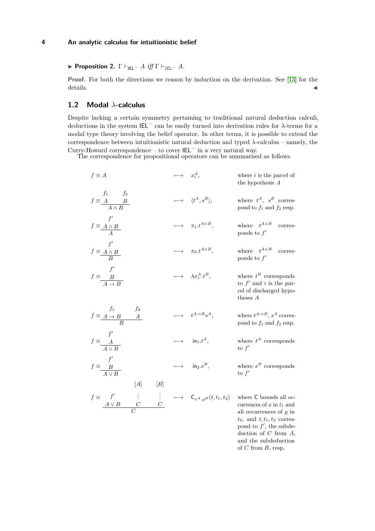### ▶ **Proposition 2.** Γ ⊢IEL<sup>−</sup> *A iff* Γ ⊢IEL<sup>−</sup> *A.*

**Proof.** For both the directions we reason by induction on the derivation. See [\[13\]](#page-15-1) for the  $\det$ ails.  $\blacktriangleleft$ 

### **1.2 Modal** *λ***-calculus**

Despite lacking a certain symmetry pertaining to traditional natural deduction calculi, deductions in the system IEL<sup>−</sup> can be easily turned into derivation rules for *λ*-terms for a modal type theory involving the belief operator. In other terms, it is possible to extend the correspondence between intuitionistic natural deduction and typed *λ*-calculus – namely, the Curry-Howard correspondence – to cover IEL<sup>−</sup> in a very natural way.

The correspondence for propositional operators can be summarised as follows

$$
f \equiv A \qquad \longrightarrow x_i^A, \qquad \text{where } i \text{ is the parcel of the hypothesis } A
$$
\n
$$
f \equiv \underline{A} \underline{B} \qquad \longrightarrow \langle t^A, s^B \rangle, \qquad \text{where } t^A, s^B \text{ corresponds to } A
$$
\n
$$
f \equiv \underline{A \wedge B} \qquad \longrightarrow \pi_1 t^{A \times B}, \qquad \text{where } t^{A \times B} \text{ corresponds to } f'
$$
\n
$$
f \equiv \underline{A \wedge B} \qquad \longrightarrow \pi_2 t^{A \times B}, \qquad \text{where } t^{A \times B} \text{ corresponds to } f'
$$
\n
$$
f \equiv \underline{B} \qquad \longrightarrow \pi_2 t^{A \times B}, \qquad \text{where } t^{A \times B} \text{ corresponds to } f'
$$
\n
$$
f \equiv \underline{B} \qquad \longrightarrow \lambda x_i^A . t^B, \qquad \text{where } t^B \text{ corresponds to } f'
$$
\n
$$
f \equiv \underline{A \rightarrow B} \qquad \longrightarrow \lambda x_i^A . t^B, \qquad \text{where } t^B \text{ corresponds to } f' \text{ and } i \text{ is the par-cel of discharged hypo-theses } A
$$
\n
$$
f \equiv \underline{A \rightarrow B} \qquad \longrightarrow \text{in } t^{A \rightarrow B} s^A, \qquad \text{where } t^{A \rightarrow B}, s^A \text{ corresponds to } f'
$$
\n
$$
f \equiv \frac{A}{A \vee B} \qquad \longrightarrow \text{in } t^{A}, \qquad \text{where } t^A \text{ corresponds to } f'
$$
\n
$$
f \equiv \frac{B}{A \vee B} \qquad \longrightarrow \text{in } s^{B}, \qquad \text{where } t^B \text{ corresponds to } f'
$$
\n
$$
[A] \qquad [B]
$$
\n
$$
f \equiv \frac{f'}{A \vee B} \qquad \longrightarrow \text{in } \underline{S} \text{ and } t, t_1, t_2 \text{ corresponds to } f'
$$
\n
$$
\frac{A \vee B}{C}
$$
\n
$$
\frac{A \vee B}{C}
$$

pond to  $f'$ , the subdeduction of *C* from *A*, and the subdeduction of *C* from *B*, resp.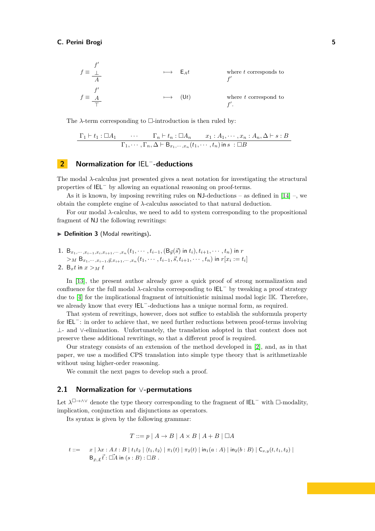$$
f \equiv \frac{f'}{\frac{1}{A}}
$$
\n
$$
\implies E_A t
$$
\nwhere *t* corresponds to\n
$$
f'
$$
\n
$$
f \equiv \frac{f'}{\frac{1}{T}}
$$
\n
$$
\implies (Ut)
$$
\nwhere *t* correspond to\n
$$
f'.
$$

The  $\lambda$ -term corresponding to  $\square$ -introduction is then ruled by:

$$
\frac{\Gamma_1 \vdash t_1 : \Box A_1 \qquad \cdots \qquad \Gamma_n \vdash t_n : \Box A_n \qquad x_1 : A_1, \cdots, x_n : A_n, \Delta \vdash s : B}{\Gamma_1, \cdots, \Gamma_n, \Delta \vdash B_{x_1, \cdots, x_n}(t_1, \cdots, t_n) \text{ in } s : \Box B}
$$

## <span id="page-4-0"></span>**2 Normalization for** IEL<sup>−</sup> **-deductions**

The modal *λ*-calculus just presented gives a neat notation for investigating the structural properties of IEL<sup>−</sup> by allowing an equational reasoning on proof-terms.

As it is known, by imposing rewriting rules on  $NJ$ -deductions – as defined in [\[14\]](#page-15-6) –, we obtain the complete engine of *λ*-calculus associated to that natural deduction.

For our modal *λ*-calculus, we need to add to system corresponding to the propositional fragment of NJ the following rewritings:

#### <span id="page-4-1"></span>▶ **Definition 3** (Modal rewritings)**.**

1. 
$$
B_{x_1, \dots, x_{i-1}, x_i, x_{i+1}, \dots, x_n}(t_1, \dots, t_{i-1}, (B_{\vec{y}}(\vec{s}) \text{ in } t_i), t_{i+1}, \dots, t_n) \text{ in } r
$$
  
>
$$
M B_{x_1, \dots, x_{i-1}, \vec{y}, x_{i+1}, \dots, x_n}(t_1, \dots, t_{i-1}, \vec{s}, t_{i+1}, \dots, t_n) \text{ in } r[x_i := t_i]
$$
  
2.  $B_x t \text{ in } x >_M t$ 

In [\[13\]](#page-15-1), the present author already gave a quick proof of strong normalization and confluence for the full modal *λ*-calculus corresponding to IEL<sup>−</sup> by tweaking a proof strategy due to [\[4\]](#page-14-3) for the implicational fragment of intuitionistic minimal modal logic IK. Therefore, we already know that every IEL<sup>−</sup>-deductions has a unique normal form, as required.

That system of rewritings, however, does not suffice to establish the subformula property for IEL<sup>−</sup>: in order to achieve that, we need further reductions between proof-terms involving ⊥- and ∨-elimination. Unfortunately, the translation adopted in that context does not preserve these additional rewritings, so that a different proof is required.

Our strategy consists of an extension of the method developed in [\[2\]](#page-14-4), and, as in that paper, we use a modified CPS translation into simple type theory that is arithmetizable without using higher-order reasoning.

We commit the next pages to develop such a proof.

### **2.1 Normalization for** ∨**-permutations**

Let  $\lambda^{\Box \to \wedge \vee}$  denote the type theory corresponding to the fragment of **IEL**<sup>−</sup> with  $\Box$ -modality, implication, conjunction and disjunctions as operators.

Its syntax is given by the following grammar:

$$
T ::= p | A \rightarrow B | A \times B | A + B | \Box A
$$

$$
t ::= \quad x \mid \lambda x : A.t : B \mid t_1 t_2 \mid \langle t_1, t_2 \rangle \mid \pi_1(t) \mid \pi_2(t) \mid \text{in}_1(a : A) \mid \text{in}_2(b : B) \mid C_{x,y}(t, t_1, t_2) \mid
$$
  

$$
B_{\vec{x}: \vec{A}} \vec{t} : \vec{\Box A} \text{ in } (s : B) : \Box B .
$$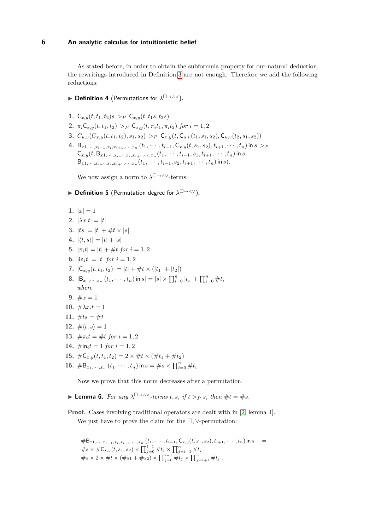As stated before, in order to obtain the subformula property for our natural deduction, the rewritings introduced in Definition [3](#page-4-1) are not enough. Therefore we add the following reductions:

- <span id="page-5-1"></span>▶ Definition 4 (Permutations for  $\lambda^{\square \rightarrow \wedge \vee}$ ).
- **1.**  $C_{x,y}(t,t_1,t_2)s > p \ C_{x,y}(t,t_1s,t_2s)$
- **2.**  $\pi_i C_{x,y}(t, t_1, t_2) >_P C_{x,y}(t, \pi_i t_1, \pi_i t_2)$  for  $i = 1, 2$
- **3.**  $C_{u,v}(C_{x,y}(t,t_1,t_2),s_1,s_2) >_P C_{x,y}(t,C_{u,y}(t_1,s_1,s_2),C_{u,y}(t_2,s_1,s_2))$
- 4. B<sub>x1</sub>,..., $x_{i-1},x_i,x_{i+1},\ldots,x_n$   $(t_1,\cdots,t_{i-1},\mathsf{C}_{x,y}(t,s_1,s_2),t_{i+1},\cdots,t_n)$  in  $s>_F$  ${\sf C}_{x,y}(t,{\sf B}_{x1,\cdots,x_{i-1},x_i,x_{i+1},\cdots,x_n}(t_1,\cdots,t_{i-1},s_1,t_{i+1},\cdots,t_n)$  in  $s,$  $B_{x1,\dots,x_{i-1},x_i,x_{i+1},\dots,x_n}(t_1,\dots,t_{i-1},s_2,t_{i+1},\dots,t_n)$  in s).

We now assign a norm to  $\lambda^{\Box \to \wedge \vee}$ -terms.

### **▶ Definition 5** (Permutation degree for  $\lambda^{\square \rightarrow \wedge \vee}$ ).

- 1.  $|x|=1$
- **2.**  $|\lambda x.t| = |t|$
- **3.**  $|ts| = |t| + #t \times |s|$
- **4.**  $|\langle t, s \rangle| = |t| + |s|$
- **5.**  $|\pi_i t| = |t| + \# t$  for  $i = 1, 2$
- **6.**  $|in_i t| = |t|$  *for*  $i = 1, 2$
- **7.**  $|C_{x,y}(t,t_1,t_2)| = |t| + \#t \times (|t_1| + |t_2|)$
- **8.**  $|B_{x_1, \dots, x_n}(t_1, \dots, t_n)$  in  $s| = |s| \times \prod_{i=0}^n |t_i| + \prod_{i=0}^n \#t_i$ *where*
- **9.**  $\#x=1$
- **10.**  $\#\lambda x.t = 1$
- **11.**  $\#ts = \#t$
- **12.**  $\# \langle t, s \rangle = 1$
- **13.**  $\#\pi_i t = \#t$  for  $i = 1, 2$
- **14.**  $\#$ in<sub>i</sub> $t = 1$  *for*  $i = 1, 2$
- **15.**  $\#C_{r,y}(t,t_1,t_2) = 2 \times \#t \times (\#t_1 + \#t_2)$
- **16.**  $\#B_{x_1,\dots,x_n}(t_1,\dots,t_n)$  in  $s = \#s \times \prod_{i=0}^n \#t_i$

Now we prove that this norm decreases after a permutation.

- <span id="page-5-0"></span>▶ **Lemma 6.** *For any*  $\lambda^{\square \rightarrow \wedge \vee}$  *-terms t, s, if t > p s, then*  $\#t = \#s$ *.*
- **Proof.** Cases involving traditional operators are dealt with in [\[2,](#page-14-4) lemma 4]. We just have to prove the claim for the □*,* ∨-permutation:

$$
\#B_{x1,\dots,x_{i-1},x_i,x_{i+1},\dots,x_n} (t_1,\dots,t_{i-1},\mathsf{C}_{x,y}(t,s_1,s_2),t_{i+1},\dots,t_n) \text{ in } s
$$
\n
$$
= \#s \times \# \mathsf{C}_{x,y}(t,s_1,s_2) \times \prod_{j=0}^{i-1} \#t_j \times \prod_{j=i+1}^n \#t_j
$$
\n
$$
= \#s \times 2 \times \#t \times (\#s_1 + \#s_2) \times \prod_{j=0}^{i-1} \#t_j \times \prod_{j=i+1}^n \#t_j.
$$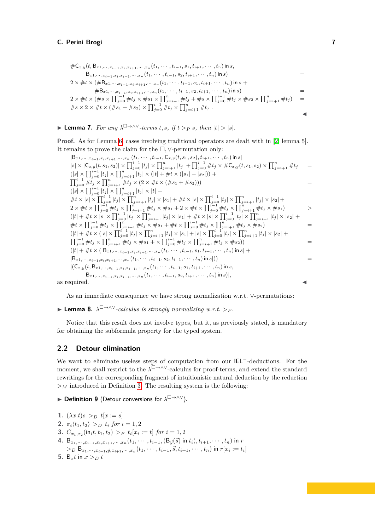$$
\#C_{x,y}(t, B_{x1,\dots,x_{i-1},x_i,x_{i+1},\dots,x_n}(t_1,\dots,t_{i-1},s_1,t_{i+1},\dots,t_n) \text{ in } s,\nB_{x1,\dots,x_{i-1},x_i,x_{i+1},\dots,x_n}(t_1,\dots,t_{i-1},s_2,t_{i+1},\dots,t_n) \text{ in } s)\n2 \times \#t \times (\#B_{x1,\dots,x_{i-1},x_i,x_{i+1},\dots,x_n}(t_1,\dots,t_{i-1},s_1,t_{i+1},\dots,t_n) \text{ in } s\n\#B_{x1,\dots,x_{i-1},x_i,x_{i+1},\dots,x_n}(t_1,\dots,t_{i-1},s_2,t_{i+1},\dots,t_n) \text{ in } s)\n2 \times \#t \times (\#s \times \prod_{j=0}^{i-1} \#t_j \times \#s_1 \times \prod_{j=i+1}^{n} \#t_j + \#s \times \prod_{j=0}^{i-1} \#t_j \times \#s_2 \times \prod_{j=i+1}^{n} \#t_j)\n\#s \times 2 \times \#t \times (\#s_1 + \#s_2) \times \prod_{j=0}^{i-1} \#t_j \times \prod_{j=i+1}^{n} \#t_j.
$$

▶ **Lemma 7.** For any  $\lambda^{\square \rightarrow \wedge \vee}$ -terms t, s, if  $t >_P s$ , then  $|t| > |s|$ .

**Proof.** As for Lemma [6,](#page-5-0) cases involving traditional operators are dealt with in [\[2,](#page-14-4) lemma 5]. It remains to prove the claim for the □*,* ∨-permutation only:

$$
|B_{x1},...,x_{i-1},x_{i},x_{i+1},...,x_{n}(t_{1},...,t_{i-1},C_{x,y}(t,s_{1},s_{2}),t_{i+1},...,t_{n}) \text{ in } s|
$$
\n
$$
|s| \times |C_{x,y}(t,s_{1},s_{2})| \times \prod_{j=0}^{i-1} |t_{j}| \times \prod_{j=i+1}^{n} |t_{j}| + \prod_{j=0}^{i-1} \#t_{j} \times \#C_{x,y}(t,s_{1},s_{2}) \times \prod_{j=i+1}^{n} \#t_{j}
$$
\n
$$
= (|s| \times \prod_{j=0}^{i-1} |t_{j}| \times \prod_{j=i+1}^{n} |t_{j}| \times (|t| + \#t \times (|s_{1}| + |s_{2}|)) +
$$
\n
$$
\prod_{j=0}^{i-1} \#t_{j} \times \prod_{j=i+1}^{n} |t_{j}| \times |t| +
$$
\n
$$
\#t \times |s| \times \prod_{j=0}^{i-1} |t_{j}| \times \prod_{j=i+1}^{n} |t_{j}| \times |t| +
$$
\n
$$
\#t \times |s| \times \prod_{j=0}^{i-1} |t_{j}| \times \prod_{j=i+1}^{n} |t_{j}| \times |s_{1}| + \#t \times |s| \times \prod_{j=0}^{i-1} |t_{j}| \times \prod_{j=i+1}^{n} \#t_{j} \times |s_{2}| +
$$
\n
$$
2 \times \#t \times \prod_{j=0}^{i-1} \#t_{j} \times \prod_{j=i+1}^{n} \#t_{j} \times \#s_{1} + 2 \times \#t \times \prod_{j=0}^{i-1} \#t_{j} \times \prod_{j=i+1}^{n} \#t_{j} \times \#s_{1})
$$
\n
$$
(|t| + \#t \times |s| \times \prod_{j=0}^{i-1} |t_{j}| \times \prod_{j=i+1}^{n} |t_{j}| \times |s_{1}| + |t_{j}| \times |s| \times \prod_{j=0}^{n} |t_{j}| \times \prod_{j=i+1}^{n} |t_{j}| \times |s_{2}| +
$$
\n
$$
\#t \times \prod_{j=0}^{
$$

As an immediate consequence we have strong normalization w.r.t. ∨-permutations:

<span id="page-6-0"></span>▶ **Lemma 8.** *λ* □→∧∨*-calculus is strongly normalizing w.r.t. ><sup>P</sup> .*

Notice that this result does not involve types, but it, as previously stated, is mandatory for obtaining the subformula property for the typed system.

### **2.2 Detour elimination**

We want to eliminate useless steps of computation from our IEL<sup>−</sup>-deductions. For the moment, we shall restrict to the  $λ^{\Box \to \land \lor}$ -calculus for proof-terms, and extend the standard rewritings for the corresponding fragment of intuitionistic natural deduction by the reduction  $>$ *M* introduced in Definition [3.](#page-4-1) The resulting system is the following:

**▶ Definition 9** (Detour conversions for  $\lambda^{\square \rightarrow \wedge \vee}$ ).

**1.**  $(\lambda x.t) s >_D t[x := s]$ **2.**  $\pi_i \langle t_1, t_2 \rangle >_D t_i$  *for*  $i = 1, 2$ **3.**  $C_{x_1,x_2}(\text{in}_i t, t_1, t_2) >_P t_i[x_i := t]$  for  $i = 1, 2$ 4.  ${\sf B}_{x_1, \cdots, x_{i-1}, x_i, x_{i+1}, \cdots, x_n}(t_1, \cdots, t_{i-1}, ({\sf B}_{\vec y}(\vec s) \text{ in } t_i), t_{i+1}, \cdots, t_n)$  in  $r$  $>_{D} B_{x_{1},\cdots,x_{i-1},\vec{y},x_{i+1},\cdots,x_{n}}(t_{1},\cdots,t_{i-1},\vec{s},t_{i+1},\cdots,t_{n})$  in  $r[x_{i}:=t_{i}]$ 

<sup>5.</sup> B<sub>x</sub><sup>*t*</sup> in  $x > p$  *t*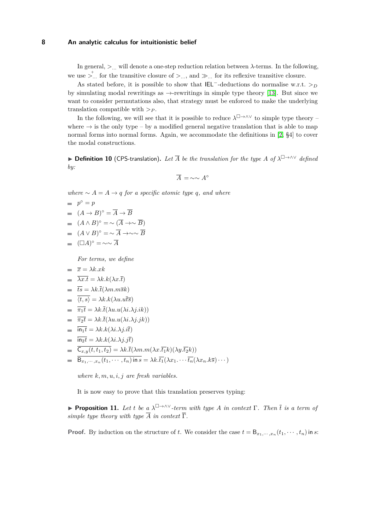In general,  $\geq$ ... will denote a one-step reduction relation between  $\lambda$ -terms. In the following, we use  $\sum_{n=1}^{n}$  for the transitive closure of  $\sum_{n=1}^{\infty}$  and  $\gg$ ... for its reflexive transitive closure.

As stated before, it is possible to show that  $|E|$ <sup>-</sup>-deductions do normalise w.r.t. >*p* by simulating modal rewritings as  $\rightarrow$ -rewritings in simple type theory [\[13\]](#page-15-1). But since we want to consider permutations also, that strategy must be enforced to make the underlying translation compatible with *><sup>P</sup>* .

In the following, we will see that it is possible to reduce  $\lambda^{\Box \to \wedge \vee}$  to simple type theory – where  $\rightarrow$  is the only type – by a modified general negative translation that is able to map normal forms into normal forms. Again, we accommodate the definitions in [\[2,](#page-14-4) §4] to cover the modal constructions.

▶ **Definition 10** (CPS-translation)**.** *Let A be the translation for the type A of λ* □→∧∨ *defined by:*

$$
\overline{A} = \sim \sim A^\circ
$$

*where*  $∼ A = A → q$  *for a specific atomic type q, and where* 

$$
\begin{array}{ll} & = & p^{\circ} = p \\ & = & (A \to B)^{\circ} = \overline{A} \to \overline{B} \\ & = & (A \land B)^{\circ} = \sim (\overline{A} \to \sim \overline{B}) \end{array}
$$

- $(A \vee B)$ ° = ∼  $\overline{A}$  →∼∼  $\overline{B}$
- $(\Box A)^\circ = \sim \sim \overline{A}$

*For terms, we define*

$$
= \overline{x} = \lambda k.xk
$$

$$
= \overline{\lambda x.t} = \lambda k.k(\lambda x.\overline{t})
$$

$$
i\overline{ts} = \lambda k.\overline{t}(\lambda m.m\overline{sk})
$$

$$
= \langle t, s \rangle = \lambda k \cdot k(\lambda u \cdot u \overline{t} \overline{s})
$$

- $= \overline{\pi_1 t} = \lambda k \cdot \overline{t} (\lambda u \cdot u(\lambda i \cdot \lambda j \cdot i k))$
- $= \overline{\pi_2 t} = \lambda k \cdot \overline{t}(\lambda u \cdot u(\lambda i \cdot \lambda j \cdot jk))$
- $\overline{\mathbf{in}_1 \mathbf{t}} = \lambda k \cdot k(\lambda i \cdot \lambda i \cdot i \overline{\mathbf{t}})$
- $\overline{\mathsf{in}_2 t} = \lambda k.k(\lambda i.\lambda j.j\overline{t})$
- $C_{x,y}(t,t_1,t_2) = \lambda k \cdot \overline{t}(\lambda m.m(\lambda x.\overline{t_1}k)(\lambda y.\overline{t_2}k))$
- $\mathsf{B}_{x_1,\dots,x_n}(t_1,\dots,t_n)$  in  $s = \lambda k.\overline{t_1}(\lambda x_1 \dots \overline{t_n}(\lambda x_n.k\overline{s})\cdots)$

*where k, m, u, i, j are fresh variables.*

It is now easy to prove that this translation preserves typing:

<span id="page-7-0"></span>▶ **Proposition 11.** Let *t* be a  $\lambda^{\square \rightarrow \wedge \vee}$ -term with type *A* in context  $\Gamma$ . Then  $\overline{t}$  is a term of *simple type theory with type*  $\overline{A}$  *in context*  $\overline{\Gamma}$ *.* 

**Proof.** By induction on the structure of *t*. We consider the case  $t = B_{x_1, \dots, x_n}(t_1, \dots, t_n)$  in *s*: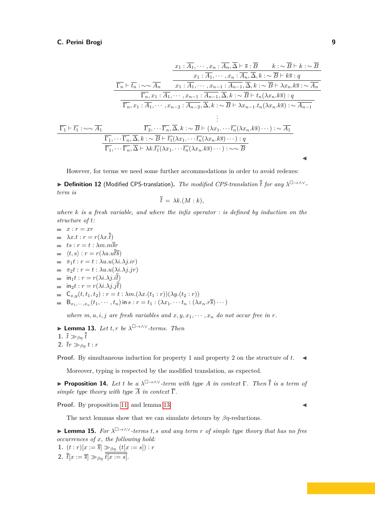$$
\frac{x_1:\overline{A_1},\cdots,x_n:\overline{A_n},\overline{\Delta}\vdash \overline{s}:\overline{B}\qquad k:\sim \overline{B}\vdash k:\sim \overline{B}
$$
\n
$$
\frac{x_1:\overline{A_1},\cdots,x_n:\overline{A_n},\overline{\Delta},k:\sim \overline{B}\vdash k\overline{s}:\overline{q}}{x_1:\overline{A_1},\cdots,x_{n-1}:\overline{A_{n-1}},\overline{\Delta},k:\sim \overline{B}\vdash k\overline{s}:\overline{q}}
$$
\n
$$
\frac{\overline{\Gamma_n}\vdash \overline{t_n}:\sim \sim \overline{A_n}}{\overline{\Gamma_n},x_1:\overline{A_1},\cdots,x_{n-2}:\overline{A_{n-2}},\overline{\Delta},k:\sim \overline{B}\vdash t_n(\lambda x_n.k\overline{s}):q}
$$
\n
$$
\frac{\vdots}{\overline{\Gamma_1}\vdash \overline{t_1}:\sim \sim \overline{A_1}}\qquad\qquad \frac{\Gamma_2,\cdots\Gamma_n,\overline{\Delta},k:\sim \overline{B}\vdash (\lambda x_1,\cdots\overline{t_n}(\lambda x_n.k\overline{s}):\sim \overline{A_{n-1}}}{\Gamma_1,\cdots\overline{\Gamma_n},\overline{\Delta},k:\sim \overline{B}\vdash t_1(\lambda x_1,\cdots\overline{t_n}(\lambda x_n.k\overline{s})\cdots):\sim \overline{A_1}}\qquad\qquad \frac{\Gamma_2,\cdots\overline{\Gamma_n},\overline{\Delta},k:\sim \overline{B}\vdash (\lambda x_1,\cdots\overline{t_n}(\lambda x_n.k\overline{s})\cdots):\sim \overline{A_1}}{\overline{\Gamma_1},\cdots\overline{\Gamma_n},\overline{\Delta}\vdash \lambda k.\overline{t_1}(\lambda x_1,\cdots\overline{t_n}(\lambda x_n.k\overline{s})\cdots):\sim \sim \overline{B}}
$$

However, for terms we need some further accommodations in order to avoid redexes:

▶ **Definition 12** (Modified CPS-translation)**.** *The modified CPS-translation t for any λ* □→∧∨ *term is*

$$
\bar{t} = \lambda k.(M:k),
$$

*where k is a fresh variable, and where the infix operator* : *is defined by induction on the structure of t:*

$$
x : r = xr
$$
  
\n
$$
λx.t : r = r(λx.\overline{t})
$$
  
\n
$$
ts : r = t : λm.\overline{m}\overline{s}r
$$
  
\n
$$
= \langle t, s \rangle : r = r(λu.\overline{u}\overline{s})
$$
  
\n
$$
= π_1t : r = t : λu.u(λi.λj.ir)
$$
  
\n
$$
= π_2t : r = t : λu.u(λi.λj.jr)
$$
  
\n
$$
= \text{in}_1t : r = r(λi.λj.j\overline{t})
$$
  
\n
$$
= \text{in}_2t : r = r(λi.λj.j\overline{t})
$$
  
\n
$$
= \text{C}_{x,y}(t, t_1, t_2) : r = t : λm.(\lambda x.(t_1 : r))(\lambda y.(t_2 : r))
$$
  
\n
$$
= \text{B}_{x_1, \dots, x_n}(t_1, \dots, t_n) \text{ in } s : r = t_1 : (\lambda x_1 \dots t_n : (\lambda x_n . r\overline{s}) \dots)
$$

*where*  $m, u, i, j$  *are fresh variables and*  $x, y, x_1, \dots, x_n$  *do not occur free in r.* 

<span id="page-8-0"></span>► Lemma 13. Let 
$$
t, r
$$
 be  $\lambda^{\square \to \wedge \vee}$ -terms. Then  
1.  $\bar{t} \gg_{\beta\eta} \bar{t}$   
2.  $\bar{t}r \gg_{\beta\eta} t : r$ 

**Proof.** By simultaneous induction for property 1 and property 2 on the structure of *t*. ◀

Moreover, typing is respected by the modified translation, as expected.

▶ **Proposition 14.** Let *t* be a  $\lambda^{\square \rightarrow \wedge \vee}$ -term with type *A* in context  $\Gamma$ . Then  $\overline{t}$  is a term of *simple type theory with type*  $\overline{A}$  *in context*  $\overline{\Gamma}$ *.* 

**Proof.** By proposition [11,](#page-7-0) and lemma [13.](#page-8-0)

The next lemmas show that we can simulate detours by *βη*-reductions.

<span id="page-8-1"></span>▶ **Lemma 15.** *For λ* □→∧∨*-terms t, s and any term r of simple type theory that has no free occurrences of x, the following hold:*

**1.**  $(t:r)[x := \overline{s}] \gg_{\beta\eta} (t[x := s]): r$ **2.**  $\bar{t}[x := \bar{\overline{s}}] \gg_{\beta\eta} t[x := s].$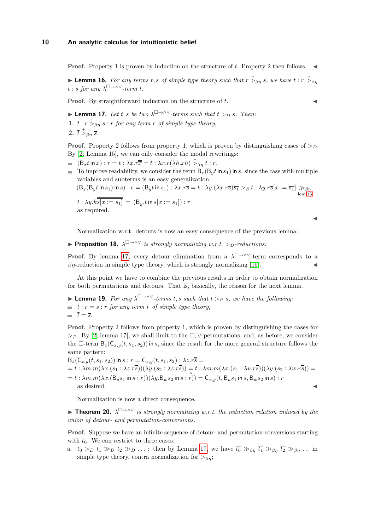**Proof.** Property 1 is proven by induction on the structure of *t*. Property 2 then follows. ◀

**Example 16.** For any terms r, s of simple type theory such that  $r \stackrel{+}{>}_{\beta\eta} s$ , we have  $t : r \stackrel{+}{>}_{\beta\eta} s$  $t : s$  *for any*  $\lambda^{\square \rightarrow \wedge \vee}$ *-term t.* 

**Proof.** By straightforward induction on the structure of *t*.

<span id="page-9-0"></span>▶ **Lemma 17.** *Let t*, *s be two*  $\lambda^{\square \rightarrow \wedge \vee}$ *-terms such that*  $t >_{D} s$ *. Then:* **1.**  $t: r \stackrel{+}{>}_{\beta\eta} s: r \text{ for any term } r \text{ of simple type theory,}$ **2.**  $\overline{t}$   $\stackrel{+}{>}_{\beta\eta}$   $\overline{s}$ *.* 

**Proof.** Property 2 follows from property 1, which is proven by distinguishing cases of  $>D$ . By [\[2,](#page-14-4) Lemma 15], we can only consider the modal rewritings:

- $(B_x t \text{ in } x) : r = t : \lambda x . r \overline{\overline{x}} = t : \lambda x . r(\lambda h . x h) \overset{+}{>}_{\beta \eta} t : r.$
- To improve readability, we consider the term  $B_x(B_y t \text{ in } s_1)$  in *s*, since the case with multiple variables and subterms is an easy generalization:

 $(B_x(B_y t \text{ in } s_1) \text{ in } s): r = (B_y t \text{ in } s_1): \lambda x. r\overline{\overline{s}} = t: \lambda y. (\lambda x. r\overline{\overline{s}})\overline{\overline{s_1}} >_\beta t: \lambda y. r\overline{\overline{s}}[x := \overline{\overline{s_1}}] \gg_{\beta\eta}$ lem[.15](#page-8-1)  $t : \lambda y. \overline{k s [x := s_1]} = (\mathsf{B}_y.t \, \text{in} \, s[x := s_1]) : r$ as required.

◀

Normalization w.r.t. detours is now an easy consequence of the previous lemma:

<span id="page-9-1"></span>▶ **Proposition 18.** *λ* □→∧∨ *is strongly normalizing w.r.t. >D-reductions.*

**Proof.** By lemma [17,](#page-9-0) every detour elimination from a  $\lambda^{\square \rightarrow \wedge \vee}$ -term corresponds to a  $\beta$ *η*-reduction in simple type theory, which is strongly normalizing [\[16\]](#page-15-0).

At this point we have to combine the previous results in order to obtain normalization for both permutations and detours. That is, basically, the reason for the next lemma.

<span id="page-9-2"></span>▶ **Lemma 19.** *For any λ* □→∧∨*-terms t, s such that t ><sup>P</sup> s, we have the following:*  $\equiv$   $t : r = s : r$  *for any term r of simple type theory,*  $\bar{t} = \bar{\bar{s}}$ .

**Proof.** Property 2 follows from property 1, which is proven by distinguishing the cases for *><sup>P</sup>* . By [\[2,](#page-14-4) lemma 17], we shall limit to the □*,* ∨-permutations, and, as before, we consider the  $\Box$ -term  $B_z(C_{x,y}(t,s_1,s_2))$  in *s*, since the result for the more general structure follows the same pattern:

 $B_z(C_{x,y}(t,s_1,s_2))$  in  $s : r = C_{x,y}(t,s_1,s_2) : \lambda z . \overline{r} \overline{s} =$  $a = t : \lambda m.m(\lambda x.(s_1 : \lambda z.r\overline{\overline{s}}))(\lambda y.(s_2 : \lambda z.r\overline{\overline{s}})) = t : \lambda m.m(\lambda x.(s_1 : \lambda u.r\overline{\overline{s}}))(\lambda y.(s_2 : \lambda w.r\overline{\overline{s}})) = t$  $= t : \lambda m.m(\lambda x.(B_us_1 \text{ in } s : r))(\lambda y.B_w s_2 \text{ in } s : r)) = C_{x,y}(t.B_us_1 \text{ in } s, B_ws_2 \text{ in } s) : r$ as desired.  $\blacktriangleleft$ 

Normalization is now a direct consequence.

<span id="page-9-3"></span>▶ **Theorem 20.** *λ* □→∧∨ *is strongly normalizing w.r.t. the reduction relation induced by the union of detour- and permutation-conversions.*

**Proof.** Suppose we have an infinite sequence of detour- and permutation-conversions starting with  $t_0$ . We can restrict to three cases:

a.  $t_0 > p \ t_1 \gg p \ t_2 \gg p \ \ldots$ : then by Lemma [17,](#page-9-0) we have  $\overline{t_0} \gg_{\beta\eta} \overline{t_1} \gg_{\beta\eta} \overline{t_2} \gg_{\beta\eta} \ldots$  in simple type theory, contra normalization for  $>_{\beta\eta}$ ;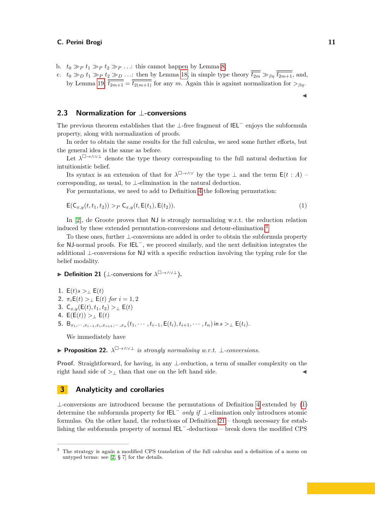b.  $t_0 \gg p \ t_1 \gg p \ t_2 \gg p \ \ldots$ : this cannot happen by Lemma [8;](#page-6-0)

c.  $t_0 \gg p \ t_1 \gg p \ t_2 \gg p \ \ldots$ : then by Lemma [18,](#page-9-1) in simple type theory  $\overline{t_{2m}} \gg_{\beta\eta} \overline{t_{2m+1}}$ , and, by Lemma [19,](#page-9-2)  $\frac{1}{t_{2m+1}} = \frac{1}{t_{2(m+1)}}$  for any *m*. Again this is against normalization for  $>_{\beta\eta}$ .

### **2.3 Normalization for** ⊥**-conversions**

The previous theorem establishes that the ⊥-free fragment of  $IEL^-$  enjoys the subformula property, along with normalization of proofs.

In order to obtain the same results for the full calculus, we need some further efforts, but the general idea is the same as before.

Let  $\lambda^{\Box \to \wedge \vee \bot}$  denote the type theory corresponding to the full natural deduction for intuitionistic belief.

Its syntax is an extension of that for  $\lambda^{\square \rightarrow \wedge \vee}$  by the type  $\bot$  and the term  $\mathsf{E}(t : A)$  – corresponding, as usual, to ⊥-elimination in the natural deduction.

For permutations, we need to add to Definition [4](#page-5-1) the following permutation:

$$
E(C_{x,y}(t, t_1, t_2)) >_P C_{x,y}(t, E(t_1), E(t_2)).
$$
\n(1)

In [\[2\]](#page-14-4), de Groote proves that NJ is strongly normalizing w.r.t. the reduction relation induced by these extended permutation-conversions and detour-elimination.[3](#page-10-1)

To these ones, further ⊥-conversions are added in order to obtain the subformula property for NJ-normal proofs. For IEL<sup>−</sup>, we proceed similarly, and the next definition integrates the additional ⊥-conversions for NJ with a specific reduction involving the typing rule for the belief modality.

### <span id="page-10-3"></span>▶ **Definition 21** (⊥-conversions for *λ* □→∧∨⊥)**.**

1. 
$$
E(t)s >_L E(t)
$$
  
\n2.  $\pi_i E(t) >_L E(t)$  for  $i = 1, 2$   
\n3.  $C_{x,y}(E(t), t_1, t_2) >_L E(t)$   
\n4.  $E(E(t)) >_L E(t)$   
\n5.  $B_{x_1, \dots, x_{i-1}, x_i, x_{i+1}, \dots, x_n}(t_1, \dots, t_{i-1}, E(t_i), t_{i+1}, \dots, t_n)$  in  $s >_L E(t_i)$ .

We immediately have

<span id="page-10-4"></span>▶ **Proposition 22.** *λ* □→∧∨⊥ *is strongly normalising w.r.t.* ⊥*-conversions.*

**Proof.** Straightforward, for having, in any ⊥-reduction, a term of smaller complexity on the right hand side of  $>$ <sub>⊥</sub> than that one on the left hand side.

### <span id="page-10-0"></span>**3 Analyticity and corollaries**

 $\perp$ -conversions are introduced because the permutations of Definition [4](#page-5-1) extended by [\(1\)](#page-10-2) determine the subformula property for IEL<sup>−</sup> *only if* ⊥-elimination only introduces atomic formulas. On the other hand, the reductions of Definition  $21$  – though necessary for establishing the subformula property of normal IEL<sup>−</sup>-deductions – break down the modified CPS

<span id="page-10-2"></span>◀

<span id="page-10-1"></span><sup>3</sup> The strategy is again a modified CPS translation of the full calculus and a definition of a norm on untyped terms: see [\[2,](#page-14-4) § 7] for the details.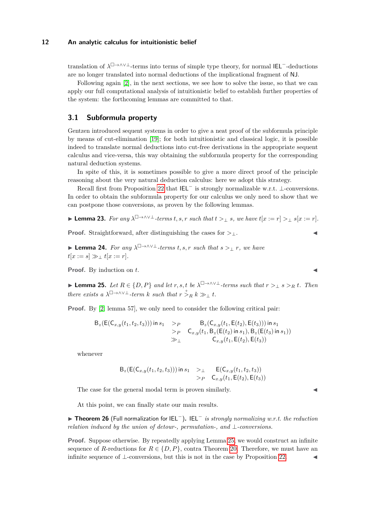translation of  $\lambda^{\Box \to \land \lor \bot}$ -terms into terms of simple type theory, for normal IEL<sup>-</sup>-deductions are no longer translated into normal deductions of the implicational fragment of NJ.

Following again [\[2\]](#page-14-4), in the next sections, we see how to solve the issue, so that we can apply our full computational analysis of intuitionistic belief to establish further properties of the system: the forthcoming lemmas are committed to that.

### **3.1 Subformula property**

Gentzen introduced sequent systems in order to give a neat proof of the subformula principle by means of cut-elimination [\[19\]](#page-15-7); for both intuitionistic and classical logic, it is possible indeed to translate normal deductions into cut-free derivations in the appropriate sequent calculus and vice-versa, this way obtaining the subformula property for the corresponding natural deduction systems.

In spite of this, it is sometimes possible to give a more direct proof of the principle reasoning about the very natural deduction calculus: here we adopt this strategy.

Recall first from Proposition [22](#page-10-4) that IEL<sup>−</sup> is strongly normalizable w.r.t. ⊥-conversions. In order to obtain the subformula property for our calculus we only need to show that we can postpone those conversions, as proven by the following lemmas.

$$
\blacktriangleright \textbf{Lemma 23. } For any \ \lambda^{\square \to \wedge \vee \bot} \textit{-terms } t, s, r \ \textit{such that} \ t >_\bot s, \ we \ \textit{have} \ t[x := r] >_\bot s[x := r].
$$

**Proof.** Straightforward, after distinguishing the cases for  $>_{\perp}$ .

▶ **Lemma 24.** *For any λ* □→∧∨⊥*-terms t, s, r such that s >*<sup>⊥</sup> *r, we have*  $t[x := s] \gg \pm t[x := r]$ *.* 

**Proof.** By induction on *t*.

<span id="page-11-0"></span>▶ **Lemma 25.** *Let*  $R \in \{D, P\}$  *and let*  $r, s, t$  *be*  $\lambda^{\square \rightarrow \wedge \vee \perp}$ *-terms such that*  $r >_{\perp} s >_R t$ *. Then there exists a*  $\lambda^{\square \rightarrow \wedge \vee \perp}$ *-term k such that*  $r \stackrel{+}{\geq} R k \gg_{\perp} t$ *.* 

**Proof.** By [\[2,](#page-14-4) lemma 57], we only need to consider the following critical pair:

$$
B_z(E(C_{x,y}(t_1, t_2, t_3))) \text{ in } s_1 \geq P \qquad B_z(C_{x,y}(t_1, E(t_2), E(t_3))) \text{ in } s_1
$$
  
\n
$$
\geq P \qquad C_{x,y}(t_1, B_z(E(t_2) \text{ in } s_1), B_z(E(t_3) \text{ in } s_1))
$$
  
\n
$$
\geq \perp \qquad C_{x,y}(t_1, E(t_2), E(t_3))
$$

whenever

$$
B_z(E(C_{x,y}(t_1, t_2, t_3))) \text{ in } s_1 \quad >_\perp \quad E(C_{x,y}(t_1, t_2, t_3)) >_P \quad C_{x,y}(t_1, E(t_2), E(t_3))
$$

The case for the general modal term is proven similarly.

At this point, we can finally state our main results.

▶ **Theorem 26** (Full normalization for IEL<sup>−</sup>)**.** IEL<sup>−</sup> *is strongly normalizing w.r.t. the reduction relation induced by the union of detour-, permutation-, and* ⊥*-conversions.*

**Proof.** Suppose otherwise. By repeatedly applying Lemma [25,](#page-11-0) we would construct an infinite sequence of *R*-reductions for  $R \in \{D, P\}$ , contra Theorem [20.](#page-9-3) Therefore, we must have an infinite sequence of  $\bot$ -conversions, but this is not in the case by Proposition [22.](#page-10-4)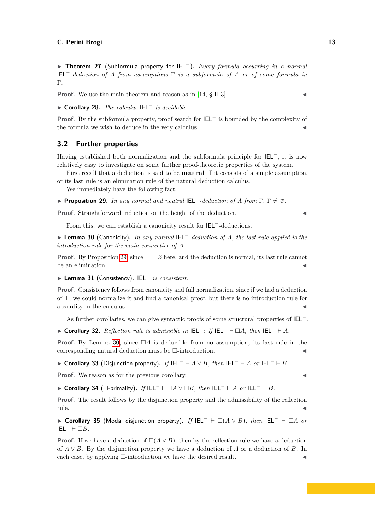▶ **Theorem 27** (Subformula property for IEL<sup>−</sup>)**.** *Every formula occurring in a normal* IEL−*-deduction of A from assumptions* Γ *is a subformula of A or of some formula in* Γ*.*

**Proof.** We use the main theorem and reason as in [\[14,](#page-15-6) § II.3].

▶ **Corollary 28.** *The calculus* IEL<sup>−</sup> *is decidable.*

**Proof.** By the subformula property, proof search for IEL<sup>−</sup> is bounded by the complexity of the formula we wish to deduce in the very calculus.

### **3.2 Further properties**

Having established both normalization and the subformula principle for IEL<sup>−</sup>, it is now relatively easy to investigate on some further proof-theoretic properties of the system.

First recall that a deduction is said to be **neutral** iff it consists of a simple assumption, or its last rule is an elimination rule of the natural deduction calculus.

We immediately have the following fact.

<span id="page-12-0"></span>▶ **Proposition 29.** *In any normal and neutral* IEL−*-deduction of A from* Γ*,* Γ ̸= ∅*.*

**Proof.** Straightforward induction on the height of the deduction. ◀

From this, we can establish a canonicity result for IEL<sup>−</sup>-deductions.

<span id="page-12-1"></span>▶ **Lemma 30** (Canonicity)**.** *In any normal* IEL<sup>−</sup>*-deduction of A, the last rule applied is the introduction rule for the main connective of A.*

**Proof.** By Proposition [29,](#page-12-0) since  $\Gamma = \emptyset$  here, and the deduction is normal, its last rule cannot be an elimination.

▶ **Lemma 31** (Consistency)**.** IEL<sup>−</sup> *is consistent.*

**Proof.** Consistency follows from canonicity and full normalization, since if we had a deduction of ⊥, we could normalize it and find a canonical proof, but there is no introduction rule for absurdity in the calculus.

As further corollaries, we can give syntactic proofs of some structural properties of IEL<sup>−</sup>.

▶ **Corollary 32.** *Reflection rule is admissible in* IEL<sup>−</sup>*: If* IEL<sup>−</sup> ⊢ □*A, then* IEL<sup>−</sup> ⊢ *A.*

**Proof.** By Lemma [30,](#page-12-1) since  $\Box A$  is deducible from no assumption, its last rule in the corresponding natural deduction must be  $\Box$ -introduction.

▶ **Corollary 33** (Disjunction property)**.** *If* IEL<sup>−</sup> ⊢ *A* ∨ *B, then* IEL<sup>−</sup> ⊢ *A or* IEL<sup>−</sup> ⊢ *B.*

**Proof.** We reason as for the previous corollary.

▶ **Corollary 34** (□-primality)**.** *If* IEL<sup>−</sup> ⊢ □*A* ∨ □*B, then* IEL<sup>−</sup> ⊢ *A or* IEL<sup>−</sup> ⊢ *B.*

**Proof.** The result follows by the disjunction property and the admissibility of the reflection rule. ◀

▶ **Corollary 35** (Modal disjunction property)**.** *If* IEL<sup>−</sup> ⊢ □(*A* ∨ *B*)*, then* IEL<sup>−</sup> ⊢ □*A or*  $IEL^{-} \vdash \Box B$ *.* 

**Proof.** If we have a deduction of  $\Box(A \vee B)$ , then by the reflection rule we have a deduction of *A* ∨ *B*. By the disjunction property we have a deduction of *A* or a deduction of *B*. In each case, by applying  $\Box$ -introduction we have the desired result.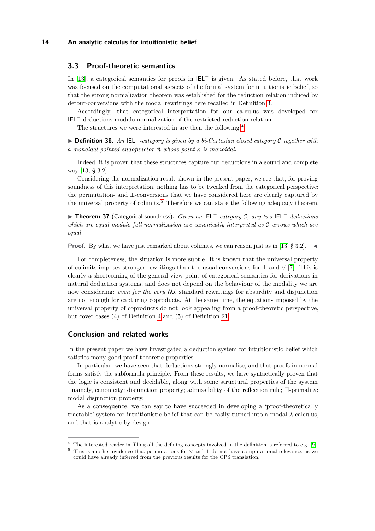### **3.3 Proof-theoretic semantics**

In [\[13\]](#page-15-1), a categorical semantics for proofs in IEL<sup>−</sup> is given. As stated before, that work was focused on the computational aspects of the formal system for intuitionistic belief, so that the strong normalization theorem was established for the reduction relation induced by detour-conversions with the modal rewritings here recalled in Definition [3.](#page-4-1)

Accordingly, that categorical interpretation for our calculus was developed for IEL−-deductions modulo normalization of the restricted reduction relation.

The structures we were interested in are then the following:<sup>[4](#page-13-0)</sup>

▶ **Definition 36.** *An* IEL−*-category is given by a bi-Cartesian closed category* C *together with a monoidal pointed endofunctor* K *whose point κ is monoidal.*

Indeed, it is proven that these structures capture our deductions in a sound and complete way [\[13,](#page-15-1) § 3.2].

Considering the normalization result shown in the present paper, we see that, for proving soundness of this interpretation, nothing has to be tweaked from the categorical perspective: the permutation- and ⊥-conversions that we have considered here are clearly captured by the universal property of colimits.<sup>[5](#page-13-1)</sup> Therefore we can state the following adequacy theorem.

▶ **Theorem 37** (Categorical soundness)**.** *Given an* IEL<sup>−</sup>*-category* C*, any two* IEL<sup>−</sup>*-deductions which are equal modulo full normalization are canonically interpreted as* C*-arrows which are equal.*

**Proof.** By what we have just remarked about colimits, we can reason just as in [\[13,](#page-15-1) § 3.2]. ◀

For completeness, the situation is more subtle. It is known that the universal property of colimits imposes stronger rewritings than the usual conversions for  $\perp$  and  $\vee$  [\[7\]](#page-15-8). This is clearly a shortcoming of the general view-point of categorical semantics for derivations in natural deduction systems, and does not depend on the behaviour of the modality we are now considering: *even for the very* NJ, standard rewritings for absurdity and disjunction are not enough for capturing coproducts. At the same time, the equations imposed by the universal property of coproducts do not look appealing from a proof-theoretic perspective, but cover cases (4) of Definition [4](#page-5-1) and (5) of Definition [21.](#page-10-3)

### **Conclusion and related works**

In the present paper we have investigated a deduction system for intuitionistic belief which satisfies many good proof-theoretic properties.

In particular, we have seen that deductions strongly normalise, and that proofs in normal forms satisfy the subformula principle. From these results, we have syntactically proven that the logic is consistent and decidable, along with some structural properties of the system  $-$  namely, canonicity; disjunction property; admissibility of the reflection rule;  $\Box$ -primality; modal disjunction property.

As a consequence, we can say to have succeeded in developing a 'proof-theoretically tractable' system for intuitionistic belief that can be easily turned into a modal *λ*-calculus, and that is analytic by design.

<span id="page-13-0"></span><sup>&</sup>lt;sup>4</sup> The interested reader in filling all the defining concepts involved in the definition is referred to e.g. [\[9\]](#page-15-9).

<span id="page-13-1"></span><sup>5</sup> This is another evidence that permutations for ∨ and ⊥ do not have computational relevance, as we could have already inferred from the previous results for the CPS translation.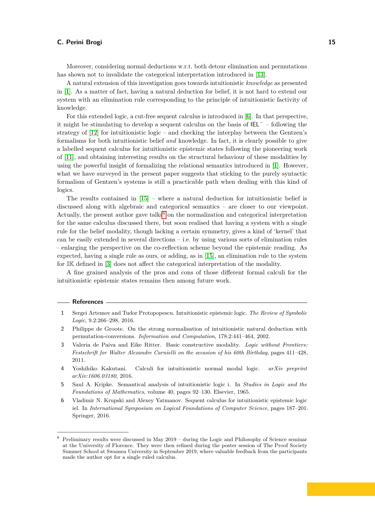Moreover, considering normal deductions w.r.t. both detour elimination and permutations has shown not to invalidate the categorical interpretation introduced in [\[13\]](#page-15-1).

A natural extension of this investigation goes towards intuitionistic *knowledge* as presented in [\[1\]](#page-14-1). As a matter of fact, having a natural deduction for belief, it is not hard to extend our system with an elimination rule corresponding to the principle of intuitionistic factivity of knowledge.

For this extended logic, a cut-free sequent calculus is introduced in [\[6\]](#page-14-5). In that perspective, it might be stimulating to develop a sequent calculus on the basis of IEL<sup>−</sup> – following the strategy of [\[12\]](#page-15-10) for intuitionistic logic – and checking the interplay between the Gentzen's formalisms for both intuitionistic belief *and* knowledge. In fact, it is clearly possible to give a labelled sequent calculus for intuitionistic epistemic states following the pioneering work of [\[11\]](#page-15-11), and obtaining interesting results on the structural behaviour of these modalities by using the powerful insight of formalizing the relational semantics introduced in [\[1\]](#page-14-1). However, what we have surveyed in the present paper suggests that sticking to the purely syntactic formalism of Gentzen's systems is still a practicable path when dealing with this kind of logics.

The results contained in  $[15]$  – where a natural deduction for intuitionistic belief is discussed along with algebraic and categorical semantics – are closer to our viewpoint. Actually, the present author gave talks<sup>[6](#page-14-6)</sup> on the normalization and categorical interpretation for the same calculus discussed there, but soon realised that having a system with a single rule for the belief modality, though lacking a certain symmetry, gives a kind of 'kernel' that can be easily extended in several directions – i.e. by using various sorts of elimination rules – enlarging the perspective on the co-reflection scheme beyond the epistemic reading. As expected, having a single rule as ours, or adding, as in [\[15\]](#page-15-12), an elimination rule to the system for IK defined in [\[3\]](#page-14-2) does not affect the categorical interpretation of the modality.

A fine grained analysis of the pros and cons of those different formal calculi for the intuitionistic epistemic states remains then among future work.

#### **References**

- <span id="page-14-1"></span>**1** Sergei Artemov and Tudor Protopopescu. Intuitionistic epistemic logic. *The Review of Symbolic Logic*, 9.2:266–298, 2016.
- <span id="page-14-4"></span>**2** Philippe de Groote. On the strong normalisation of intuitionistic natural deduction with permutation-conversions. *Information and Computation*, 178.2:441–464, 2002.
- <span id="page-14-2"></span>**3** Valeria de Paiva and Eike Ritter. Basic constructive modality. *Logic without Frontiers: Festschrift for Walter Alexandre Carnielli on the occasion of his 60th Birthday*, pages 411–428, 2011.
- <span id="page-14-3"></span>**4** Yoshihiko Kakutani. Calculi for intuitionistic normal modal logic. *arXiv preprint arXiv:1606.03180*, 2016.
- <span id="page-14-0"></span>**5** Saul A. Kripke. Semantical analysis of intuitionistic logic i. In *Studies in Logic and the Foundations of Mathematics*, volume 40, pages 92–130. Elsevier, 1965.
- <span id="page-14-5"></span>**6** Vladimir N. Krupski and Alexey Yatmanov. Sequent calculus for intuitionistic epistemic logic iel. In *International Symposium on Logical Foundations of Computer Science*, pages 187–201. Springer, 2016.

<span id="page-14-6"></span> $6$  Preliminary results were discussed in May 2019 – during the Logic and Philosophy of Science seminar at the University of Florence. They were then refined during the poster session of The Proof Society Summer School at Swansea University in September 2019, where valuable feedback from the participants made the author opt for a single ruled calculus.